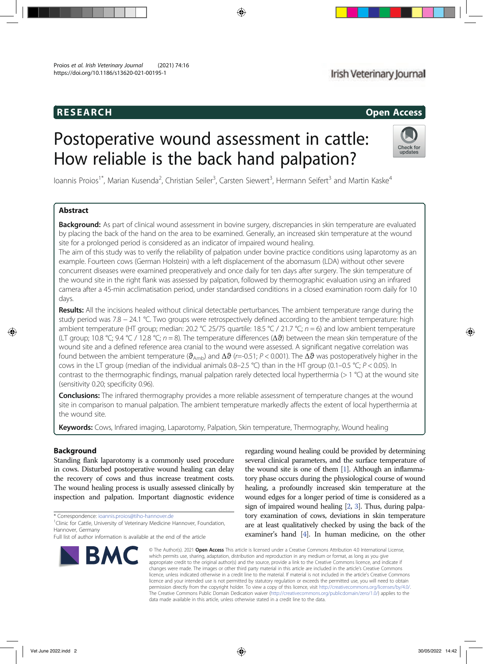# RESEARCH Open Access

# Irish Veterinary Journal

# Postoperative wound assessment in cattle: How reliable is the back hand palpation?



loannis Proios<sup>1\*</sup>, Marian Kusenda<sup>2</sup>, Christian Seiler<sup>3</sup>, Carsten Siewert<sup>3</sup>, Hermann Seifert<sup>3</sup> and Martin Kaske<sup>4</sup>

# Abstract

Background: As part of clinical wound assessment in bovine surgery, discrepancies in skin temperature are evaluated by placing the back of the hand on the area to be examined. Generally, an increased skin temperature at the wound site for a prolonged period is considered as an indicator of impaired wound healing.

The aim of this study was to verify the reliability of palpation under bovine practice conditions using laparotomy as an example. Fourteen cows (German Holstein) with a left displacement of the abomasum (LDA) without other severe concurrent diseases were examined preoperatively and once daily for ten days after surgery. The skin temperature of the wound site in the right flank was assessed by palpation, followed by thermographic evaluation using an infrared camera after a 45-min acclimatisation period, under standardised conditions in a closed examination room daily for 10 days.

Results: All the incisions healed without clinical detectable perturbances. The ambient temperature range during the study period was 7.8 − 24.1 °C. Two groups were retrospectively defined according to the ambient temperature: high ambient temperature (HT group; median: 20.2 °C 25/75 quartile: 18.5 °C / 21.7 °C;  $n = 6$ ) and low ambient temperature (LT group; 10.8 °C; 9.4 °C / 12.8 °C;  $n = 8$ ). The temperature differences ( $\Delta\vartheta$ ) between the mean skin temperature of the wound site and a defined reference area cranial to the wound were assessed. A significant negative correlation was found between the ambient temperature ( $\theta_{\text{Amb}}$ ) and  $\Delta\theta$  (r=-0.51; P < 0.001). The  $\Delta\theta$  was postoperatively higher in the cows in the LT group (median of the individual animals  $0.8-2.5$  °C) than in the HT group (0.1–0.5 °C; P < 0.05). In contrast to the thermographic findings, manual palpation rarely detected local hyperthermia (> 1 °C) at the wound site (sensitivity 0.20; specificity 0.96).

**Conclusions:** The infrared thermography provides a more reliable assessment of temperature changes at the wound site in comparison to manual palpation. The ambient temperature markedly affects the extent of local hyperthermia at the wound site.

Keywords: Cows, Infrared imaging, Laparotomy, Palpation, Skin temperature, Thermography, Wound healing

## Background

Standing flank laparotomy is a commonly used procedure in cows. Disturbed postoperative wound healing can delay the recovery of cows and thus increase treatment costs. The wound healing process is usually assessed clinically by inspection and palpation. Important diagnostic evidence

\* Correspondence: ioannis.proios@tiho-hannover.de <sup>1</sup>

regarding wound healing could be provided by determining several clinical parameters, and the surface temperature of the wound site is one of them [1]. Although an inflammatory phase occurs during the physiological course of wound healing, a profoundly increased skin temperature at the wound edges for a longer period of time is considered as a sign of impaired wound healing [2, 3]. Thus, during palpatory examination of cows, deviations in skin temperature are at least qualitatively checked by using the back of the examiner's hand [4]. In human medicine, on the other

**BM** 

© The Author(s). 2021 Open Access This article is licensed under a Creative Commons Attribution 4.0 International License, which permits use, sharing, adaptation, distribution and reproduction in any medium or format, as long as you give appropriate credit to the original author(s) and the source, provide a link to the Creative Commons licence, and indicate if changes were made. The images or other third party material in this article are included in the article's Creative Commons licence, unless indicated otherwise in a credit line to the material. If material is not included in the article's Creative Commons licence and your intended use is not permitted by statutory regulation or exceeds the permitted use, you will need to obtain permission directly from the copyright holder. To view a copy of this licence, visit http://creativecommons.org/licenses/by/4.0/. The Creative Commons Public Domain Dedication waiver (http://creativecommons.org/publicdomain/zero/1.0/) applies to the data made available in this article, unless otherwise stated in a credit line to the data.

<sup>&</sup>lt;sup>1</sup>Clinic for Cattle, University of Veterinary Medicine Hannover, Foundation, Hannover, Germany

Full list of author information is available at the end of the article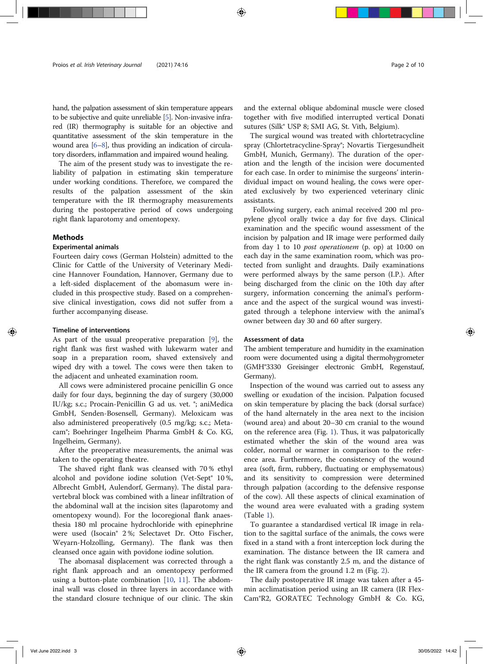hand, the palpation assessment of skin temperature appears to be subjective and quite unreliable [5]. Non-invasive infrared (IR) thermography is suitable for an objective and quantitative assessment of the skin temperature in the wound area [6–8], thus providing an indication of circulatory disorders, inflammation and impaired wound healing.

The aim of the present study was to investigate the reliability of palpation in estimating skin temperature under working conditions. Therefore, we compared the results of the palpation assessment of the skin temperature with the IR thermography measurements during the postoperative period of cows undergoing right flank laparotomy and omentopexy.

#### Methods

#### Experimental animals

Fourteen dairy cows (German Holstein) admitted to the Clinic for Cattle of the University of Veterinary Medicine Hannover Foundation, Hannover, Germany due to a left-sided displacement of the abomasum were included in this prospective study. Based on a comprehensive clinical investigation, cows did not suffer from a further accompanying disease.

#### Timeline of interventions

As part of the usual preoperative preparation [9], the right flank was first washed with lukewarm water and soap in a preparation room, shaved extensively and wiped dry with a towel. The cows were then taken to the adjacent and unheated examination room.

All cows were administered procaine penicillin G once daily for four days, beginning the day of surgery (30,000 IU/kg; s.c.; Procain-Penicillin G ad us. vet. ®; aniMedica GmbH, Senden-Bosensell, Germany). Meloxicam was also administered preoperatively (0.5 mg/kg; s.c.; Metacam®; Boehringer Ingelheim Pharma GmbH & Co. KG, Ingelheim, Germany).

After the preoperative measurements, the animal was taken to the operating theatre.

The shaved right flank was cleansed with 70 % ethyl alcohol and povidone iodine solution (Vet-Sept® 10 %, Albrecht GmbH, Aulendorf, Germany). The distal paravertebral block was combined with a linear infiltration of the abdominal wall at the incision sites (laparotomy and omentopexy wound). For the locoregional flank anaesthesia 180 ml procaine hydrochloride with epinephrine were used (Isocain® 2 %; Selectavet Dr. Otto Fischer, Weyarn-Holzolling, Germany). The flank was then cleansed once again with povidone iodine solution.

The abomasal displacement was corrected through a right flank approach and an omentopexy performed using a button-plate combination [10, 11]. The abdominal wall was closed in three layers in accordance with the standard closure technique of our clinic. The skin and the external oblique abdominal muscle were closed together with five modified interrupted vertical Donati sutures (Silk® USP 8; SMI AG, St. Vith, Belgium).

The surgical wound was treated with chlortetracycline spray (Chlortetracycline-Spray®; Novartis Tiergesundheit GmbH, Munich, Germany). The duration of the operation and the length of the incision were documented for each case. In order to minimise the surgeons' interindividual impact on wound healing, the cows were operated exclusively by two experienced veterinary clinic assistants.

Following surgery, each animal received 200 ml propylene glycol orally twice a day for five days. Clinical examination and the specific wound assessment of the incision by palpation and IR image were performed daily from day 1 to 10 post operationem (p. op) at 10:00 on each day in the same examination room, which was protected from sunlight and draughts. Daily examinations were performed always by the same person (I.P.). After being discharged from the clinic on the 10th day after surgery, information concerning the animal's performance and the aspect of the surgical wound was investigated through a telephone interview with the animal's owner between day 30 and 60 after surgery.

#### Assessment of data

The ambient temperature and humidity in the examination room were documented using a digital thermohygrometer (GMH®3330 Greisinger electronic GmbH, Regenstauf, Germany).

Inspection of the wound was carried out to assess any swelling or exudation of the incision. Palpation focused on skin temperature by placing the back (dorsal surface) of the hand alternately in the area next to the incision (wound area) and about 20–30 cm cranial to the wound on the reference area (Fig. 1). Thus, it was palpatorically estimated whether the skin of the wound area was colder, normal or warmer in comparison to the reference area. Furthermore, the consistency of the wound area (soft, firm, rubbery, fluctuating or emphysematous) and its sensitivity to compression were determined through palpation (according to the defensive response of the cow). All these aspects of clinical examination of the wound area were evaluated with a grading system (Table 1).

To guarantee a standardised vertical IR image in relation to the sagittal surface of the animals, the cows were fixed in a stand with a front interception lock during the examination. The distance between the IR camera and the right flank was constantly 2.5 m, and the distance of the IR camera from the ground 1.2 m (Fig. 2).

The daily postoperative IR image was taken after a 45 min acclimatisation period using an IR camera (IR Flex-Cam®R2, GORATEC Technology GmbH & Co. KG,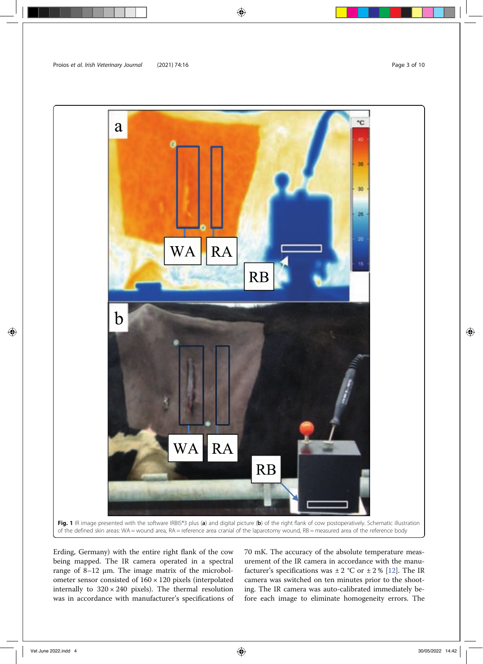

Erding, Germany) with the entire right flank of the cow being mapped. The IR camera operated in a spectral range of 8–12 μm. The image matrix of the microbolometer sensor consisted of 160 × 120 pixels (interpolated internally to  $320 \times 240$  pixels). The thermal resolution was in accordance with manufacturer's specifications of

70 mK. The accuracy of the absolute temperature measurement of the IR camera in accordance with the manufacturer's specifications was  $\pm 2$  °C or  $\pm 2$  % [12]. The IR camera was switched on ten minutes prior to the shooting. The IR camera was auto-calibrated immediately before each image to eliminate homogeneity errors. The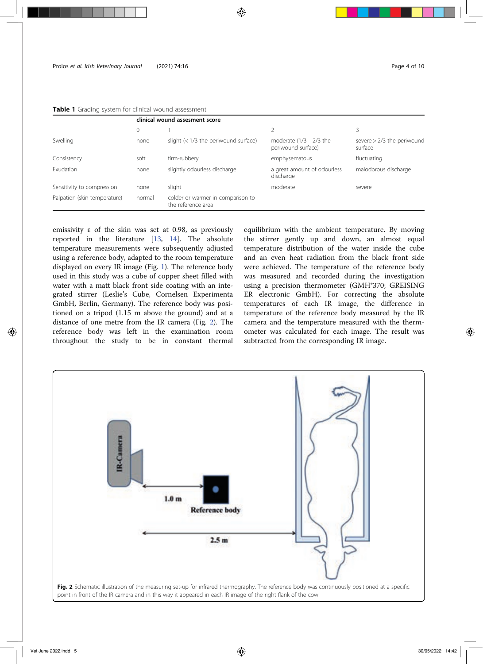|                              | clinical wound assesment score |                                                         |                                                  |                                         |  |
|------------------------------|--------------------------------|---------------------------------------------------------|--------------------------------------------------|-----------------------------------------|--|
|                              | 0                              |                                                         |                                                  |                                         |  |
| Swelling                     | none                           | slight $(< 1/3$ the periwound surface)                  | moderate $(1/3 - 2/3)$ the<br>periwound surface) | severe $> 2/3$ the periwound<br>surface |  |
| Consistency                  | soft                           | firm-rubbery                                            | emphysematous                                    | fluctuating                             |  |
| <b>Exudation</b>             | none                           | slightly odourless discharge                            | a great amount of odourless<br>discharge         | malodorous discharge                    |  |
| Sensitivity to compression   | none                           | slight                                                  | moderate                                         | severe                                  |  |
| Palpation (skin temperature) | normal                         | colder or warmer in comparison to<br>the reference area |                                                  |                                         |  |

Table 1 Grading system for clinical wound assessment

emissivity ε of the skin was set at 0.98, as previously reported in the literature [13, 14]. The absolute temperature measurements were subsequently adjusted using a reference body, adapted to the room temperature displayed on every IR image (Fig. 1). The reference body used in this study was a cube of copper sheet filled with water with a matt black front side coating with an integrated stirrer (Leslie's Cube, Cornelsen Experimenta GmbH, Berlin, Germany). The reference body was positioned on a tripod (1.15 m above the ground) and at a distance of one metre from the IR camera (Fig. 2). The reference body was left in the examination room throughout the study to be in constant thermal

equilibrium with the ambient temperature. By moving the stirrer gently up and down, an almost equal temperature distribution of the water inside the cube and an even heat radiation from the black front side were achieved. The temperature of the reference body was measured and recorded during the investigation using a precision thermometer (GMH®370; GREISING ER electronic GmbH). For correcting the absolute temperatures of each IR image, the difference in temperature of the reference body measured by the IR camera and the temperature measured with the thermometer was calculated for each image. The result was subtracted from the corresponding IR image.

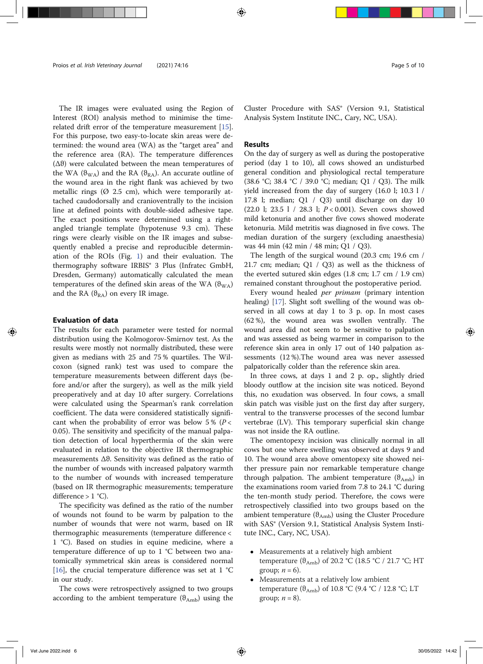The IR images were evaluated using the Region of Interest (ROI) analysis method to minimise the timerelated drift error of the temperature measurement [15]. For this purpose, two easy-to-locate skin areas were determined: the wound area (WA) as the "target area" and the reference area (RA). The temperature differences ( $Δθ$ ) were calculated between the mean temperatures of the WA ( $\vartheta_{WA}$ ) and the RA ( $\vartheta_{RA}$ ). An accurate outline of the wound area in the right flank was achieved by two metallic rings  $(Ø 2.5 cm)$ , which were temporarily attached caudodorsally and cranioventrally to the incision line at defined points with double-sided adhesive tape. The exact positions were determined using a rightangled triangle template (hypotenuse 9.3 cm). These rings were clearly visible on the IR images and subsequently enabled a precise and reproducible determination of the ROIs (Fig. 1) and their evaluation. The thermography software IRBIS® 3 Plus (Infratec GmbH, Dresden, Germany) automatically calculated the mean temperatures of the defined skin areas of the WA  $(\vartheta_{WA})$ and the RA  $(\theta_{RA})$  on every IR image.

#### Evaluation of data

The results for each parameter were tested for normal distribution using the Kolmogorov-Smirnov test. As the results were mostly not normally distributed, these were given as medians with 25 and 75 % quartiles. The Wilcoxon (signed rank) test was used to compare the temperature measurements between different days (before and/or after the surgery), as well as the milk yield preoperatively and at day 10 after surgery. Correlations were calculated using the Spearman's rank correlation coefficient. The data were considered statistically significant when the probability of error was below 5% ( $P$  < 0.05). The sensitivity and specificity of the manual palpation detection of local hyperthermia of the skin were evaluated in relation to the objective IR thermographic measurements Δϑ. Sensitivity was defined as the ratio of the number of wounds with increased palpatory warmth to the number of wounds with increased temperature (based on IR thermographic measurements; temperature difference  $> 1 °C$ .

The specificity was defined as the ratio of the number of wounds not found to be warm by palpation to the number of wounds that were not warm, based on IR thermographic measurements (temperature difference < 1 °C). Based on studies in equine medicine, where a temperature difference of up to 1 °C between two anatomically symmetrical skin areas is considered normal [16], the crucial temperature difference was set at 1  $^{\circ}$ C in our study.

The cows were retrospectively assigned to two groups according to the ambient temperature  $(\vartheta_{\text{Amb}})$  using the

Cluster Procedure with SAS® (Version 9.1, Statistical Analysis System Institute INC., Cary, NC, USA).

### Results

On the day of surgery as well as during the postoperative period (day 1 to 10), all cows showed an undisturbed general condition and physiological rectal temperature (38.6 °C; 38.4 °C / 39.0 °C; median; Q1 / Q3). The milk yield increased from the day of surgery (16.0 l; 10.3 l / 17.8 l; median; Q1 / Q3) until discharge on day 10 (22.0 l; 23.5 l / 28.3 l; P < 0.001). Seven cows showed mild ketonuria and another five cows showed moderate ketonuria. Mild metritis was diagnosed in five cows. The median duration of the surgery (excluding anaesthesia) was 44 min (42 min / 48 min; Q1 / Q3).

The length of the surgical wound (20.3 cm; 19.6 cm / 21.7 cm; median; Q1 / Q3) as well as the thickness of the everted sutured skin edges (1.8 cm; 1.7 cm / 1.9 cm) remained constant throughout the postoperative period.

Every wound healed *per primam* (primary intention healing) [17]. Slight soft swelling of the wound was observed in all cows at day 1 to 3 p. op. In most cases (62 %), the wound area was swollen ventrally. The wound area did not seem to be sensitive to palpation and was assessed as being warmer in comparison to the reference skin area in only 17 out of 140 palpation assessments (12 %).The wound area was never assessed palpatorically colder than the reference skin area.

In three cows, at days 1 and 2 p. op., slightly dried bloody outflow at the incision site was noticed. Beyond this, no exudation was observed. In four cows, a small skin patch was visible just on the first day after surgery, ventral to the transverse processes of the second lumbar vertebrae (LV). This temporary superficial skin change was not inside the RA outline.

The omentopexy incision was clinically normal in all cows but one where swelling was observed at days 9 and 10. The wound area above omentopexy site showed neither pressure pain nor remarkable temperature change through palpation. The ambient temperature  $(\theta_{Amb})$  in the examinations room varied from 7.8 to 24.1 °C during the ten-month study period. Therefore, the cows were retrospectively classified into two groups based on the ambient temperature  $(\theta_{Amb})$  using the Cluster Procedure with SAS® (Version 9.1, Statistical Analysis System Institute INC., Cary, NC, USA).

- Measurements at a relatively high ambient temperature ( $\theta_{\rm Amb}$ ) of 20.2 °C (18.5 °C / 21.7 °C; HT group;  $n = 6$ ).
- Measurements at a relatively low ambient temperature ( $\theta_{\rm Amb}$ ) of 10.8 °C (9.4 °C / 12.8 °C; LT group;  $n = 8$ ).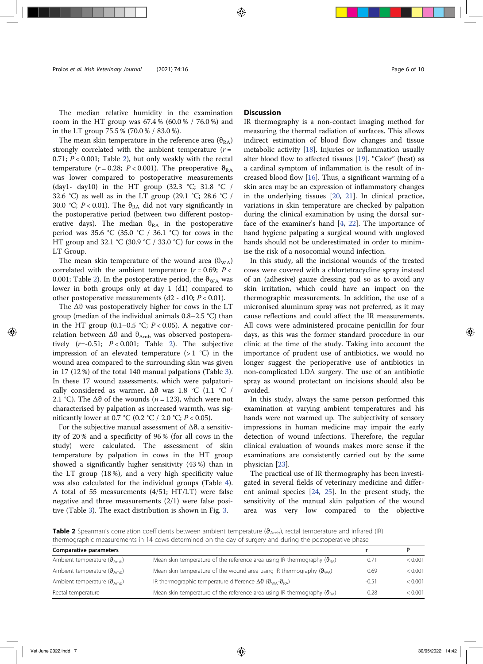The median relative humidity in the examination room in the HT group was 67.4 % (60.0 % / 76.0 %) and in the LT group 75.5 % (70.0 % / 83.0 %).

The mean skin temperature in the reference area  $(\theta_{RA})$ strongly correlated with the ambient temperature  $(r =$ 0.71;  $P < 0.001$ ; Table 2), but only weakly with the rectal temperature ( $r = 0.28$ ;  $P < 0.001$ ). The preoperative  $\vartheta_{\text{RA}}$ was lower compared to postoperative measurements (day1- day10) in the HT group (32.3 °C; 31.8 °C / 32.6 °C) as well as in the LT group (29.1 °C; 28.6 °C / 30.0 °C;  $P < 0.01$ ). The  $\theta_{RA}$  did not vary significantly in the postoperative period (between two different postoperative days). The median  $\theta_{RA}$  in the postoperative period was 35.6 °C (35.0 °C / 36.1 °C) for cows in the HT group and 32.1 °C (30.9 °C / 33.0 °C) for cows in the LT Group.

The mean skin temperature of the wound area  $(\theta_{WA})$ correlated with the ambient temperature  $(r = 0.69; P <$ 0.001; Table 2). In the postoperative period, the  $\theta_{WA}$  was lower in both groups only at day 1 (d1) compared to other postoperative measurements (d2 - d10;  $P < 0.01$ ).

The  $\Delta\theta$  was postoperatively higher for cows in the LT group (median of the individual animals 0.8–2.5 °C) than in the HT group (0.1–0.5 °C;  $P < 0.05$ ). A negative correlation between  $Δθ$  and  $θ_{Amb}$  was observed postoperatively  $(r=-0.51; P<0.001;$  Table 2). The subjective impression of an elevated temperature  $(>1 °C)$  in the wound area compared to the surrounding skin was given in 17 (12 %) of the total 140 manual palpations (Table 3). In these 17 wound assessments, which were palpatorically considered as warmer, Δϑ was 1.8 °C (1.1 °C / 2.1 °C). The  $\Delta\vartheta$  of the wounds (*n* = 123), which were not characterised by palpation as increased warmth, was significantly lower at 0.7 °C (0.2 °C / 2.0 °C;  $P < 0.05$ ).

For the subjective manual assessment of  $\Delta\vartheta$ , a sensitivity of 20 % and a specificity of 96 % (for all cows in the study) were calculated. The assessment of skin temperature by palpation in cows in the HT group showed a significantly higher sensitivity (43 %) than in the LT group (18 %), and a very high specificity value was also calculated for the individual groups (Table 4). A total of 55 measurements (4/51; HT/LT) were false negative and three measurements (2/1) were false positive (Table 3). The exact distribution is shown in Fig. 3.

IR thermography is a non-contact imaging method for measuring the thermal radiation of surfaces. This allows indirect estimation of blood flow changes and tissue metabolic activity [18]. Injuries or inflammation usually alter blood flow to affected tissues [19]. "Calor" (heat) as a cardinal symptom of inflammation is the result of increased blood flow [16]. Thus, a significant warming of a skin area may be an expression of inflammatory changes in the underlying tissues [20, 21]. In clinical practice, variations in skin temperature are checked by palpation during the clinical examination by using the dorsal surface of the examiner's hand [4, 22]. The importance of hand hygiene palpating a surgical wound with ungloved hands should not be underestimated in order to minimise the risk of a nosocomial wound infection.

In this study, all the incisional wounds of the treated cows were covered with a chlortetracycline spray instead of an (adhesive) gauze dressing pad so as to avoid any skin irritation, which could have an impact on the thermographic measurements. In addition, the use of a micronised aluminum spray was not preferred, as it may cause reflections and could affect the IR measurements. All cows were administered procaine penicillin for four days, as this was the former standard procedure in our clinic at the time of the study. Taking into account the importance of prudent use of antibiotics, we would no longer suggest the perioperative use of antibiotics in non-complicated LDA surgery. The use of an antibiotic spray as wound protectant on incisions should also be avoided.

In this study, always the same person performed this examination at varying ambient temperatures and his hands were not warmed up. The subjectivity of sensory impressions in human medicine may impair the early detection of wound infections. Therefore, the regular clinical evaluation of wounds makes more sense if the examinations are consistently carried out by the same physician [23].

The practical use of IR thermography has been investigated in several fields of veterinary medicine and different animal species [24, 25]. In the present study, the sensitivity of the manual skin palpation of the wound area was very low compared to the objective

Table 2 Spearman's correlation coefficients between ambient temperature ( $\theta_{\rm Amb}$ ), rectal temperature and infrared (IR) thermographic measurements in 14 cows determined on the day of surgery and during the postoperative phase

| <b>Comparative parameters</b>                  |                                                                                                                 |         |         |
|------------------------------------------------|-----------------------------------------------------------------------------------------------------------------|---------|---------|
| Ambient temperature $(\vartheta_{\text{Amb}})$ | Mean skin temperature of the reference area using IR thermography $(\vartheta_{RA})$                            | 0.71    | < 0.001 |
| Ambient temperature $(\vartheta_{\rm Amb})$    | Mean skin temperature of the wound area using IR thermography $(\vartheta_{WA})$                                | 0.69    | < 0.001 |
| Ambient temperature $(\vartheta_{\text{amb}})$ | IR thermographic temperature difference $\Delta\vartheta$ ( $\vartheta_{\text{WA}}$ - $\vartheta_{\text{RA}}$ ) | $-0.51$ | < 0.001 |
| Rectal temperature                             | Mean skin temperature of the reference area using IR thermography $(\vartheta_{\text{RA}})$                     | 0.28    | < 0.001 |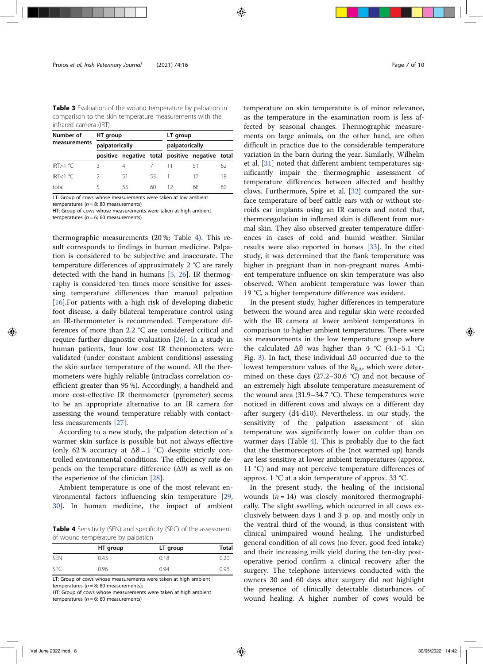Table 3 Evaluation of the wound temperature by palpation in comparison to the skin temperature measurements with the infrared camera (IRT)

| Number of    | HT group       |    |    | LT group       |                                                 |    |
|--------------|----------------|----|----|----------------|-------------------------------------------------|----|
| measurements | palpatorically |    |    | palpatorically |                                                 |    |
|              |                |    |    |                | positive negative total positive negative total |    |
| IRT>1 °C     |                |    |    | -11            | 51                                              | 62 |
| IRT<1 °C     |                | 51 | 53 | -1             | $\frac{1}{2}$                                   | 18 |
| total        |                | 55 | 60 | 12             | 68                                              | 80 |

LT: Group of cows whose measurements were taken at low ambient temperatures ( $n = 8$ ; 80 measurements)

HT: Group of cows whose measurements were taken at high ambient temperatures ( $n = 6$ ; 60 measurements)

thermographic measurements (20 %; Table 4). This result corresponds to findings in human medicine. Palpation is considered to be subjective and inaccurate. The temperature differences of approximately 2 °C are rarely detected with the hand in humans [5, 26]. IR thermography is considered ten times more sensitive for assessing temperature differences than manual palpation [16].For patients with a high risk of developing diabetic foot disease, a daily bilateral temperature control using an IR-thermometer is recommended. Temperature differences of more than 2.2 °C are considered critical and require further diagnostic evaluation [26]. In a study in human patients, four low cost IR thermometers were validated (under constant ambient conditions) assessing the skin surface temperature of the wound. All the thermometers were highly reliable (intraclass correlation coefficient greater than 95 %). Accordingly, a handheld and more cost-effective IR thermometer (pyrometer) seems to be an appropriate alternative to an IR camera for assessing the wound temperature reliably with contactless measurements [27].

According to a new study, the palpation detection of a warmer skin surface is possible but not always effective (only 62 % accuracy at  $\Delta\vartheta = 1$  °C) despite strictly controlled environmental conditions. The efficiency rate depends on the temperature difference  $(Δθ)$  as well as on the experience of the clinician [28].

Ambient temperature is one of the most relevant environmental factors influencing skin temperature [29, 30]. In human medicine, the impact of ambient

Table 4 Sensitivity (SEN) and specificity (SPC) of the assessment of wound temperature by palpation

|            | HT group | LT group | Total |
|------------|----------|----------|-------|
| <b>SEN</b> | 0.43     | 0.18     | 0.20  |
| <b>SPC</b> | 0.96     | 0.94     | 0.96  |

LT: Group of cows whose measurements were taken at high ambient temperatures ( $n = 8$ ; 80 measurements);

HT: Group of cows whose measurements were taken at high ambient temperatures ( $n = 6$ ; 60 measurements)

temperature on skin temperature is of minor relevance, as the temperature in the examination room is less affected by seasonal changes. Thermographic measurements on large animals, on the other hand, are often difficult in practice due to the considerable temperature variation in the barn during the year. Similarly, Wilhelm et al. [31] noted that different ambient temperatures significantly impair the thermographic assessment of temperature differences between affected and healthy claws. Furthermore, Spire et al. [32] compared the surface temperature of beef cattle ears with or without steroids ear implants using an IR camera and noted that, thermoregulation in inflamed skin is different from normal skin. They also observed greater temperature differences in cases of cold and humid weather. Similar results were also reported in horses [33]. In the cited study, it was determined that the flank temperature was higher in pregnant than in non-pregnant mares. Ambient temperature influence on skin temperature was also observed. When ambient temperature was lower than 19 °C, a higher temperature difference was evident.

In the present study, higher differences in temperature between the wound area and regular skin were recorded with the IR camera at lower ambient temperatures in comparison to higher ambient temperatures. There were six measurements in the low temperature group where the calculated  $\Delta\theta$  was higher than 4 °C (4.1–5.1 °C; Fig. 3). In fact, these individual Δϑ occurred due to the lowest temperature values of the  $\theta_{RA}$ , which were determined on these days (27.2–30.6 °C) and not because of an extremely high absolute temperature measurement of the wound area (31.9–34.7 °C). These temperatures were noticed in different cows and always on a different day after surgery (d4-d10). Nevertheless, in our study, the sensitivity of the palpation assessment of skin temperature was significantly lower on colder than on warmer days (Table 4). This is probably due to the fact that the thermoreceptors of the (not warmed up) hands are less sensitive at lower ambient temperatures (approx. 11 °C) and may not perceive temperature differences of approx. 1 °C at a skin temperature of approx. 33 °C.

In the present study, the healing of the incisional wounds  $(n = 14)$  was closely monitored thermographically. The slight swelling, which occurred in all cows exclusively between days 1 and 3 p. op. and mostly only in the ventral third of the wound, is thus consistent with clinical unimpaired wound healing. The undisturbed general condition of all cows (no fever, good feed intake) and their increasing milk yield during the ten-day postoperative period confirm a clinical recovery after the surgery. The telephone interviews conducted with the owners 30 and 60 days after surgery did not highlight the presence of clinically detectable disturbances of wound healing. A higher number of cows would be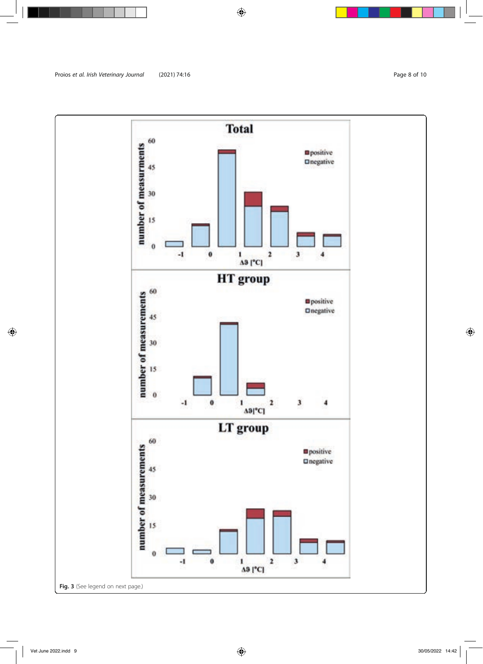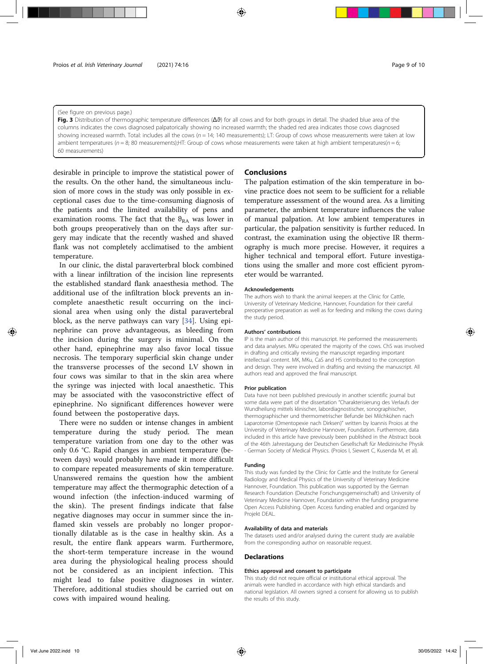#### (See figure on previous page.)

Fig. 3 Distribution of thermographic temperature differences  $(\Delta\vartheta)$  for all cows and for both groups in detail. The shaded blue area of the columns indicates the cows diagnosed palpatorically showing no increased warmth; the shaded red area indicates those cows diagnosed showing increased warmth. Total: includes all the cows ( $n = 14$ ; 140 measurements); LT: Group of cows whose measurements were taken at low ambient temperatures ( $n = 8$ ; 80 measurements);HT: Group of cows whose measurements were taken at high ambient temperatures( $n = 6$ ; 60 measurements)

desirable in principle to improve the statistical power of the results. On the other hand, the simultaneous inclusion of more cows in the study was only possible in exceptional cases due to the time-consuming diagnosis of the patients and the limited availability of pens and examination rooms. The fact that the  $\theta_{RA}$  was lower in both groups preoperatively than on the days after surgery may indicate that the recently washed and shaved flank was not completely acclimatised to the ambient temperature.

In our clinic, the distal paraverterbral block combined with a linear infiltration of the incision line represents the established standard flank anaesthesia method. The additional use of the infiltration block prevents an incomplete anaesthetic result occurring on the incisional area when using only the distal paravertebral block, as the nerve pathways can vary [34]. Using epinephrine can prove advantageous, as bleeding from the incision during the surgery is minimal. On the other hand, epinephrine may also favor local tissue necrosis. The temporary superficial skin change under the transverse processes of the second LV shown in four cows was similar to that in the skin area where the syringe was injected with local anaesthetic. This may be associated with the vasoconstrictive effect of epinephrine. No significant differences however were found between the postoperative days.

There were no sudden or intense changes in ambient temperature during the study period. The mean temperature variation from one day to the other was only 0.6 °C. Rapid changes in ambient temperature (between days) would probably have made it more difficult to compare repeated measurements of skin temperature. Unanswered remains the question how the ambient temperature may affect the thermographic detection of a wound infection (the infection-induced warming of the skin). The present findings indicate that false negative diagnoses may occur in summer since the inflamed skin vessels are probably no longer proportionally dilatable as is the case in healthy skin. As a result, the entire flank appears warm. Furthermore, the short-term temperature increase in the wound area during the physiological healing process should not be considered as an incipient infection. This might lead to false positive diagnoses in winter. Therefore, additional studies should be carried out on cows with impaired wound healing.

#### Conclusions

The palpation estimation of the skin temperature in bovine practice does not seem to be sufficient for a reliable temperature assessment of the wound area. As a limiting parameter, the ambient temperature influences the value of manual palpation. At low ambient temperatures in particular, the palpation sensitivity is further reduced. In contrast, the examination using the objective IR thermography is much more precise. However, it requires a higher technical and temporal effort. Future investigations using the smaller and more cost efficient pyrometer would be warranted.

#### Acknowledgements

The authors wish to thank the animal keepers at the Clinic for Cattle, University of Veterinary Medicine, Hannover, Foundation for their careful preoperative preparation as well as for feeding and milking the cows during the study period.

#### Authors' contributions

IP is the main author of this manuscript. He performed the measurements and data analyses. MKu operated the majority of the cows. ChS was involved in drafting and critically revising the manuscript regarding important intellectual content. MK, MKu, CaS and HS contributed to the conception and design. They were involved in drafting and revising the manuscript. All authors read and approved the final manuscript.

#### Prior publication

Data have not been published previously in another scientific journal but some data were part of the dissertation "Charakterisierung des Verlaufs der Wundheilung mittels klinischer, labordiagnostischer, sonographischer, thermographischer und thermometrischer Befunde bei Milchkühen nach Laparotomie (Omentopexie nach Dirksen)" written by Ioannis Proios at the University of Veterinary Medicine Hannover, Foundation. Furthermore, data included in this article have previously been published in the Abstract book of the 46th Jahrestagung der Deutschen Gesellschaft für Medizinische Physik - German Society of Medical Physics. (Proios I, Siewert C, Kusenda M, et al).

#### Funding

This study was funded by the Clinic for Cattle and the Institute for General Radiology and Medical Physics of the University of Veterinary Medicine Hannover, Foundation. This publication was supported by the German Research Foundation (Deutsche Forschungsgemeinschaft) and University of Veterinary Medicine Hannover, Foundation within the funding programme Open Access Publishing. Open Access funding enabled and organized by Projekt DEAL.

#### Availability of data and materials

The datasets used and/or analysed during the current study are available from the corresponding author on reasonable request.

#### **Declarations**

#### Ethics approval and consent to participate

This study did not require official or institutional ethical approval. The animals were handled in accordance with high ethical standards and national legislation. All owners signed a consent for allowing us to publish the results of this study.